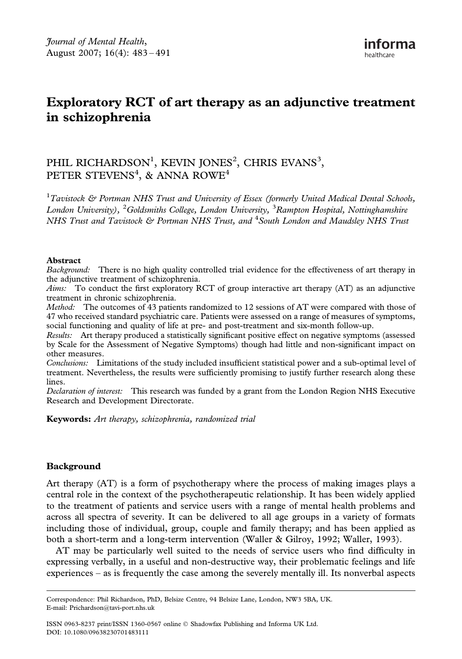# Exploratory RCT of art therapy as an adjunctive treatment in schizophrenia

# PHIL RICHARDSON<sup>1</sup>, KEVIN JONES<sup>2</sup>, CHRIS EVANS<sup>3</sup>, PETER STEVENS<sup>4</sup>, & ANNA ROWE<sup>4</sup>

<sup>1</sup>Tavistock & Portman NHS Trust and University of Essex (formerly United Medical Dental Schools, London University), <sup>2</sup>Goldsmiths College, London University, <sup>3</sup>Rampton Hospital, Nottinghamshire NHS Trust and Tavistock & Portman NHS Trust, and <sup>4</sup>South London and Maudsley NHS Trust

## Abstract

Background: There is no high quality controlled trial evidence for the effectiveness of art therapy in the adjunctive treatment of schizophrenia.

Aims: To conduct the first exploratory RCT of group interactive art therapy (AT) as an adjunctive treatment in chronic schizophrenia.

Method: The outcomes of 43 patients randomized to 12 sessions of AT were compared with those of 47 who received standard psychiatric care. Patients were assessed on a range of measures of symptoms, social functioning and quality of life at pre- and post-treatment and six-month follow-up.

Results: Art therapy produced a statistically significant positive effect on negative symptoms (assessed by Scale for the Assessment of Negative Symptoms) though had little and non-significant impact on other measures.

Conclusions: Limitations of the study included insufficient statistical power and a sub-optimal level of treatment. Nevertheless, the results were sufficiently promising to justify further research along these lines.

Declaration of interest: This research was funded by a grant from the London Region NHS Executive Research and Development Directorate.

Keywords: Art therapy, schizophrenia, randomized trial

# Background

Art therapy (AT) is a form of psychotherapy where the process of making images plays a central role in the context of the psychotherapeutic relationship. It has been widely applied to the treatment of patients and service users with a range of mental health problems and across all spectra of severity. It can be delivered to all age groups in a variety of formats including those of individual, group, couple and family therapy; and has been applied as both a short-term and a long-term intervention (Waller & Gilroy, 1992; Waller, 1993).

AT may be particularly well suited to the needs of service users who find difficulty in expressing verbally, in a useful and non-destructive way, their problematic feelings and life experiences – as is frequently the case among the severely mentally ill. Its nonverbal aspects

Correspondence: Phil Richardson, PhD, Belsize Centre, 94 Belsize Lane, London, NW3 5BA, UK. E-mail: Prichardson@tavi-port.nhs.uk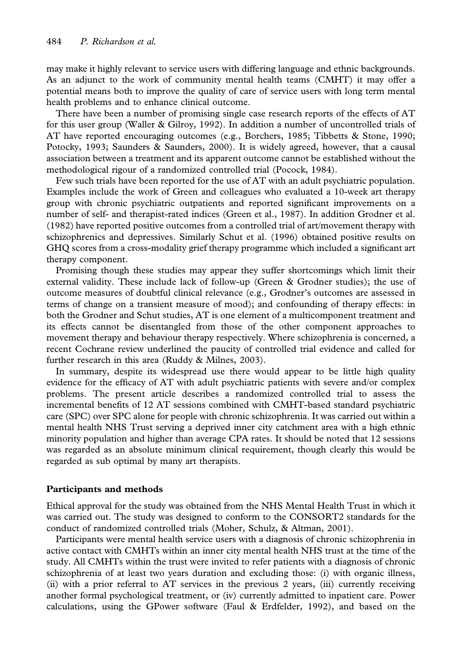may make it highly relevant to service users with differing language and ethnic backgrounds. As an adjunct to the work of community mental health teams (CMHT) it may offer a potential means both to improve the quality of care of service users with long term mental health problems and to enhance clinical outcome.

There have been a number of promising single case research reports of the effects of AT for this user group (Waller & Gilroy, 1992). In addition a number of uncontrolled trials of AT have reported encouraging outcomes (e.g., Borchers, 1985; Tibbetts & Stone, 1990; Potocky, 1993; Saunders & Saunders, 2000). It is widely agreed, however, that a causal association between a treatment and its apparent outcome cannot be established without the methodological rigour of a randomized controlled trial (Pocock, 1984).

Few such trials have been reported for the use of AT with an adult psychiatric population. Examples include the work of Green and colleagues who evaluated a 10-week art therapy group with chronic psychiatric outpatients and reported significant improvements on a number of self- and therapist-rated indices (Green et al., 1987). In addition Grodner et al. (1982) have reported positive outcomes from a controlled trial of art/movement therapy with schizophrenics and depressives. Similarly Schut et al. (1996) obtained positive results on GHQ scores from a cross-modality grief therapy programme which included a significant art therapy component.

Promising though these studies may appear they suffer shortcomings which limit their external validity. These include lack of follow-up (Green & Grodner studies); the use of outcome measures of doubtful clinical relevance (e.g., Grodner's outcomes are assessed in terms of change on a transient measure of mood); and confounding of therapy effects: in both the Grodner and Schut studies, AT is one element of a multicomponent treatment and its effects cannot be disentangled from those of the other component approaches to movement therapy and behaviour therapy respectively. Where schizophrenia is concerned, a recent Cochrane review underlined the paucity of controlled trial evidence and called for further research in this area (Ruddy & Milnes, 2003).

In summary, despite its widespread use there would appear to be little high quality evidence for the efficacy of AT with adult psychiatric patients with severe and/or complex problems. The present article describes a randomized controlled trial to assess the incremental benefits of 12 AT sessions combined with CMHT-based standard psychiatric care (SPC) over SPC alone for people with chronic schizophrenia. It was carried out within a mental health NHS Trust serving a deprived inner city catchment area with a high ethnic minority population and higher than average CPA rates. It should be noted that 12 sessions was regarded as an absolute minimum clinical requirement, though clearly this would be regarded as sub optimal by many art therapists.

## Participants and methods

Ethical approval for the study was obtained from the NHS Mental Health Trust in which it was carried out. The study was designed to conform to the CONSORT2 standards for the conduct of randomized controlled trials (Moher, Schulz, & Altman, 2001).

Participants were mental health service users with a diagnosis of chronic schizophrenia in active contact with CMHTs within an inner city mental health NHS trust at the time of the study. All CMHTs within the trust were invited to refer patients with a diagnosis of chronic schizophrenia of at least two years duration and excluding those: (i) with organic illness, (ii) with a prior referral to AT services in the previous 2 years, (iii) currently receiving another formal psychological treatment, or (iv) currently admitted to inpatient care. Power calculations, using the GPower software (Faul & Erdfelder, 1992), and based on the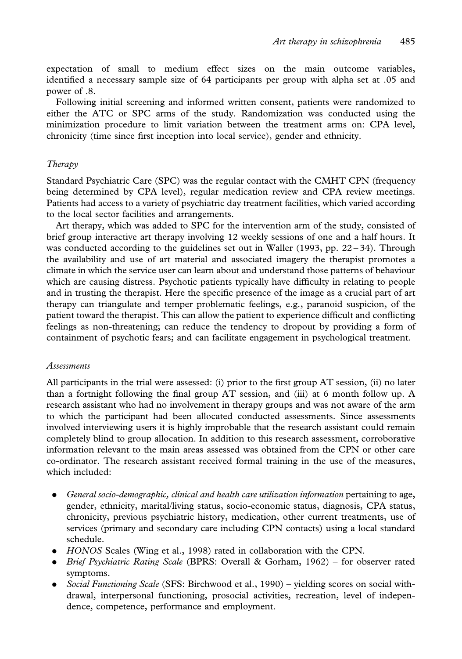expectation of small to medium effect sizes on the main outcome variables, identified a necessary sample size of 64 participants per group with alpha set at .05 and power of .8.

Following initial screening and informed written consent, patients were randomized to either the ATC or SPC arms of the study. Randomization was conducted using the minimization procedure to limit variation between the treatment arms on: CPA level, chronicity (time since first inception into local service), gender and ethnicity.

# Therapy

Standard Psychiatric Care (SPC) was the regular contact with the CMHT CPN (frequency being determined by CPA level), regular medication review and CPA review meetings. Patients had access to a variety of psychiatric day treatment facilities, which varied according to the local sector facilities and arrangements.

Art therapy, which was added to SPC for the intervention arm of the study, consisted of brief group interactive art therapy involving 12 weekly sessions of one and a half hours. It was conducted according to the guidelines set out in Waller  $(1993, pp. 22-34)$ . Through the availability and use of art material and associated imagery the therapist promotes a climate in which the service user can learn about and understand those patterns of behaviour which are causing distress. Psychotic patients typically have difficulty in relating to people and in trusting the therapist. Here the specific presence of the image as a crucial part of art therapy can triangulate and temper problematic feelings, e.g., paranoid suspicion, of the patient toward the therapist. This can allow the patient to experience difficult and conflicting feelings as non-threatening; can reduce the tendency to dropout by providing a form of containment of psychotic fears; and can facilitate engagement in psychological treatment.

## Assessments

All participants in the trial were assessed: (i) prior to the first group AT session, (ii) no later than a fortnight following the final group AT session, and (iii) at 6 month follow up. A research assistant who had no involvement in therapy groups and was not aware of the arm to which the participant had been allocated conducted assessments. Since assessments involved interviewing users it is highly improbable that the research assistant could remain completely blind to group allocation. In addition to this research assessment, corroborative information relevant to the main areas assessed was obtained from the CPN or other care co-ordinator. The research assistant received formal training in the use of the measures, which included:

- . General socio-demographic, clinical and health care utilization information pertaining to age, gender, ethnicity, marital/living status, socio-economic status, diagnosis, CPA status, chronicity, previous psychiatric history, medication, other current treatments, use of services (primary and secondary care including CPN contacts) using a local standard schedule.
- . HONOS Scales (Wing et al., 1998) rated in collaboration with the CPN.
- Brief Psychiatric Rating Scale (BPRS: Overall & Gorham, 1962) for observer rated symptoms.
- Social Functioning Scale (SFS: Birchwood et al., 1990) yielding scores on social withdrawal, interpersonal functioning, prosocial activities, recreation, level of independence, competence, performance and employment.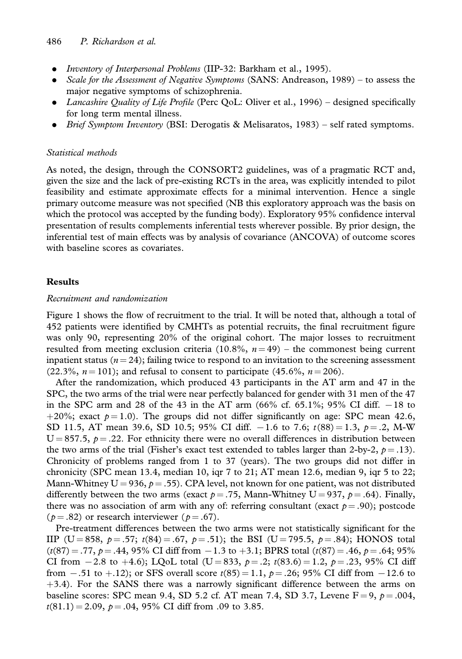- . Inventory of Interpersonal Problems (IIP-32: Barkham et al., 1995).
- Scale for the Assessment of Negative Symptoms (SANS: Andreason, 1989) to assess the major negative symptoms of schizophrenia.
- . Lancashire Quality of Life Profile (Perc QoL: Oliver et al., 1996) designed specifically for long term mental illness.
- . Brief Symptom Inventory (BSI: Derogatis & Melisaratos, 1983) self rated symptoms.

# Statistical methods

As noted, the design, through the CONSORT2 guidelines, was of a pragmatic RCT and, given the size and the lack of pre-existing RCTs in the area, was explicitly intended to pilot feasibility and estimate approximate effects for a minimal intervention. Hence a single primary outcome measure was not specified (NB this exploratory approach was the basis on which the protocol was accepted by the funding body). Exploratory 95% confidence interval presentation of results complements inferential tests wherever possible. By prior design, the inferential test of main effects was by analysis of covariance (ANCOVA) of outcome scores with baseline scores as covariates.

# **Results**

#### Recruitment and randomization

Figure 1 shows the flow of recruitment to the trial. It will be noted that, although a total of 452 patients were identified by CMHTs as potential recruits, the final recruitment figure was only 90, representing 20% of the original cohort. The major losses to recruitment resulted from meeting exclusion criteria (10.8%,  $n = 49$ ) – the commonest being current inpatient status ( $n = 24$ ); failing twice to respond to an invitation to the screening assessment (22.3%,  $n = 101$ ); and refusal to consent to participate (45.6%,  $n = 206$ ).

After the randomization, which produced 43 participants in the AT arm and 47 in the SPC, the two arms of the trial were near perfectly balanced for gender with 31 men of the 47 in the SPC arm and 28 of the 43 in the AT arm (66% cf. 65.1%; 95% CI diff.  $-18$  to +20%; exact  $p = 1.0$ ). The groups did not differ significantly on age: SPC mean 42.6, SD 11.5, AT mean 39.6, SD 10.5; 95% CI diff.  $-1.6$  to 7.6;  $t(88) = 1.3$ ,  $p = .2$ , M-W  $U = 857.5$ ,  $p = .22$ . For ethnicity there were no overall differences in distribution between the two arms of the trial (Fisher's exact test extended to tables larger than 2-by-2,  $p = .13$ ). Chronicity of problems ranged from 1 to 37 (years). The two groups did not differ in chronicity (SPC mean 13.4, median 10, iqr 7 to 21; AT mean 12.6, median 9, iqr 5 to 22; Mann-Whitney  $U = 936$ ,  $p = .55$ ). CPA level, not known for one patient, was not distributed differently between the two arms (exact  $p = .75$ , Mann-Whitney U = 937,  $p = .64$ ). Finally, there was no association of arm with any of: referring consultant (exact  $p = .90$ ); postcode ( $p = .82$ ) or research interviewer ( $p = .67$ ).

Pre-treatment differences between the two arms were not statistically significant for the IIP (U = 858,  $p = .57$ ;  $t(84) = .67$ ,  $p = .51$ ); the BSI (U = 795.5,  $p = .84$ ); HONOS total  $(t(87) = .77, p = .44, 95\% \text{ CI diff from } -1.3 \text{ to } +3.1; \text{BPRS total } (t(87) = .46, p = .64; 95\% \text{ CI diff from } -1.3 \text{ to } +3.1; \text{BPRS total } (t(87) = .46, p = .64; 95\% \text{ CI diff from } -1.3 \text{ to } +3.1; \text{BPRS total } (t(87) = .46, p = .64; 95\% \text{ CI diff from } -1.3 \text{ TO } +3.1; \text{BPRS total } (t(87) = .46, p = .64;$ CI from  $-2.8$  to  $+4.6$ ); LQoL total (U = 833, p = .2; t(83.6) = 1.2, p = .23, 95% CI diff from  $-.51$  to  $+.12$ ); or SFS overall score  $t(85) = 1.1$ ,  $p = .26$ ; 95% CI diff from  $-12.6$  to  $+3.4$ ). For the SANS there was a narrowly significant difference between the arms on baseline scores: SPC mean 9.4, SD 5.2 cf. AT mean 7.4, SD 3.7, Levene  $F = 9$ ,  $p = .004$ ,  $t(81.1) = 2.09$ ,  $p = .04$ , 95% CI diff from .09 to 3.85.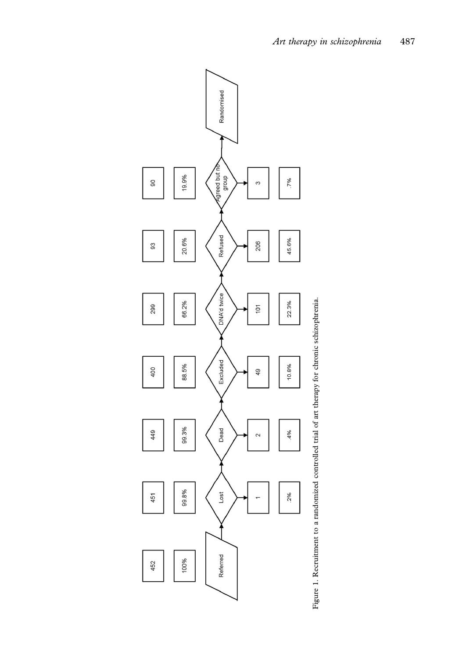

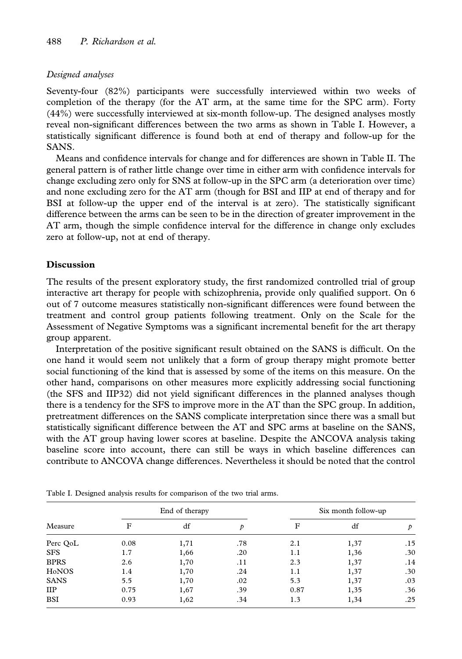# Designed analyses

Seventy-four (82%) participants were successfully interviewed within two weeks of completion of the therapy (for the AT arm, at the same time for the SPC arm). Forty (44%) were successfully interviewed at six-month follow-up. The designed analyses mostly reveal non-significant differences between the two arms as shown in Table I. However, a statistically significant difference is found both at end of therapy and follow-up for the SANS.

Means and confidence intervals for change and for differences are shown in Table II. The general pattern is of rather little change over time in either arm with confidence intervals for change excluding zero only for SNS at follow-up in the SPC arm (a deterioration over time) and none excluding zero for the AT arm (though for BSI and IIP at end of therapy and for BSI at follow-up the upper end of the interval is at zero). The statistically significant difference between the arms can be seen to be in the direction of greater improvement in the AT arm, though the simple confidence interval for the difference in change only excludes zero at follow-up, not at end of therapy.

# **Discussion**

The results of the present exploratory study, the first randomized controlled trial of group interactive art therapy for people with schizophrenia, provide only qualified support. On 6 out of 7 outcome measures statistically non-significant differences were found between the treatment and control group patients following treatment. Only on the Scale for the Assessment of Negative Symptoms was a significant incremental benefit for the art therapy group apparent.

Interpretation of the positive significant result obtained on the SANS is difficult. On the one hand it would seem not unlikely that a form of group therapy might promote better social functioning of the kind that is assessed by some of the items on this measure. On the other hand, comparisons on other measures more explicitly addressing social functioning (the SFS and IIP32) did not yield significant differences in the planned analyses though there is a tendency for the SFS to improve more in the AT than the SPC group. In addition, pretreatment differences on the SANS complicate interpretation since there was a small but statistically significant difference between the AT and SPC arms at baseline on the SANS, with the AT group having lower scores at baseline. Despite the ANCOVA analysis taking baseline score into account, there can still be ways in which baseline differences can contribute to ANCOVA change differences. Nevertheless it should be noted that the control

|             | End of therapy |      |     | Six month follow-up |      |     |
|-------------|----------------|------|-----|---------------------|------|-----|
| Measure     | F              | df   | p   | F                   | df   | p   |
| Perc QoL    | 0.08           | 1,71 | .78 | 2.1                 | 1,37 | .15 |
| <b>SFS</b>  | 1.7            | 1,66 | .20 | 1.1                 | 1,36 | .30 |
| <b>BPRS</b> | 2.6            | 1,70 | .11 | 2.3                 | 1,37 | .14 |
| HoNOS       | 1.4            | 1,70 | .24 | 1.1                 | 1,37 | .30 |
| <b>SANS</b> | 5.5            | 1,70 | .02 | 5.3                 | 1,37 | .03 |
| <b>IIP</b>  | 0.75           | 1,67 | .39 | 0.87                | 1,35 | .36 |
| <b>BSI</b>  | 0.93           | 1,62 | .34 | 1.3                 | 1,34 | .25 |

Table I. Designed analysis results for comparison of the two trial arms.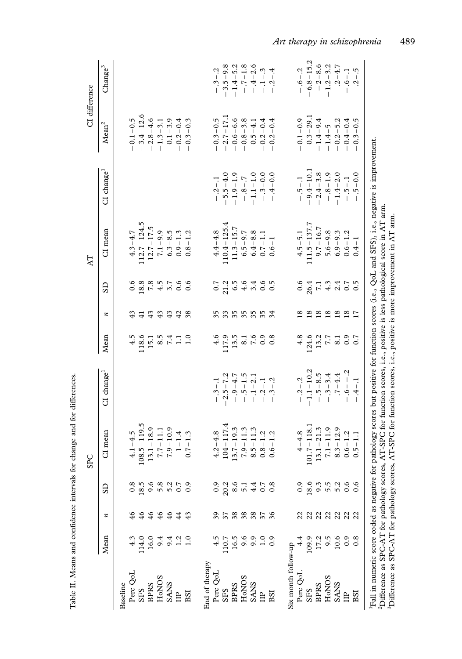|                     |                   |                                                                                  |                  | <b>SPC</b>                                                                                                                                                                                                                                                                                                                                                                                                                                      |                        |                   |                  |                         | Ę               |                        | CI difference     |                     |
|---------------------|-------------------|----------------------------------------------------------------------------------|------------------|-------------------------------------------------------------------------------------------------------------------------------------------------------------------------------------------------------------------------------------------------------------------------------------------------------------------------------------------------------------------------------------------------------------------------------------------------|------------------------|-------------------|------------------|-------------------------|-----------------|------------------------|-------------------|---------------------|
|                     | Mean              | $\boldsymbol{z}$                                                                 | GS               | CI mean                                                                                                                                                                                                                                                                                                                                                                                                                                         | CI change <sup>1</sup> | Mean              | $\boldsymbol{z}$ | ဌာ                      | CI mean         | CI change <sup>1</sup> | $\mathrm{Mean}^2$ | Change <sup>3</sup> |
| Baseline            |                   |                                                                                  |                  |                                                                                                                                                                                                                                                                                                                                                                                                                                                 |                        |                   |                  |                         |                 |                        |                   |                     |
| Perc QoL            | 4.3               |                                                                                  | 0.8              | $4.1 - 4.5$                                                                                                                                                                                                                                                                                                                                                                                                                                     |                        | 4.5               | 43               | 0.6                     | $4.3 - 4.7$     |                        | $-0.1 - 0.5$      |                     |
| <b>SFS</b>          | 114.0             | 46                                                                               | 18.5             | $108.5 - 119.5$                                                                                                                                                                                                                                                                                                                                                                                                                                 |                        | 118.6             | न                | 18.8                    | $.12.7 - 124.5$ |                        | $-3.4 - 12.6$     |                     |
| <b>BPRS</b>         | 16.0              | 46                                                                               |                  | $13.1 - 18.9$                                                                                                                                                                                                                                                                                                                                                                                                                                   |                        | 15.1              | 43               | 7.8                     | $12.7 - 17.5$   |                        | $-2.8 - 4.6$      |                     |
| <b>HoNOS</b>        | 9.4               | 46                                                                               | 9.8              | $7.7 - 11.1$                                                                                                                                                                                                                                                                                                                                                                                                                                    |                        | 8.5               | 43               | 4.5                     | $7.1 - 9.9$     |                        | $-1.3 - 3.1$      |                     |
| <b>SANS</b>         | 9.4               | 46                                                                               | $\overline{5.2}$ | $7.9 - 10.9$                                                                                                                                                                                                                                                                                                                                                                                                                                    |                        | 7.4               | 43               | 3.7                     | $6.3 - 8.5$     |                        | $0.1 - 3.9$       |                     |
| 白                   | $\frac{0.2}{1.0}$ | 44                                                                               | 0.7              | $1 - 1.4$                                                                                                                                                                                                                                                                                                                                                                                                                                       |                        | $\Xi$             | 42               | 0.6                     | $0.9 - 1.3$     |                        | $-0.2 - 0.4$      |                     |
| BSI                 |                   | 43                                                                               | 0.9              | $0.7 - 1.3$                                                                                                                                                                                                                                                                                                                                                                                                                                     |                        | $\ddot{ }$ .      | 38               | 0.6                     | $0.8 - 1.2$     |                        | $-0.3 - 0.3$      |                     |
| End of therapy      |                   |                                                                                  |                  |                                                                                                                                                                                                                                                                                                                                                                                                                                                 |                        |                   |                  |                         |                 |                        |                   |                     |
| Perc QoL            | 45<br>4           | $\overline{\mathcal{E}}$                                                         | 0.9              | $4.2 - 4.8$                                                                                                                                                                                                                                                                                                                                                                                                                                     | $-3 - 1$               | 4.6               | 35               | 0.7                     | $4.4 - 4.8$     | $-2 - 1$               | $-0.3 - 0.5$      | $-3 - 2$            |
| <b>SFS</b>          | 110.7             |                                                                                  | 20.2             | $104 - 117.4$                                                                                                                                                                                                                                                                                                                                                                                                                                   | $-2.5 - 7.2$           | 117.9             | 33               | 21.2                    | $110.4 - 125.4$ | $-5.5 - 4.0$           | $-2.7 - 17.1$     | $-3.5 - 9.8$        |
| <b>BPRS</b>         | 16.5              | 2288878<br>228887                                                                |                  | $13.7 - 19.3$                                                                                                                                                                                                                                                                                                                                                                                                                                   | $-0.9 - 4.7$           | 13.5              | 35               |                         | $11.3 - 15.7$   | $-1.9 - 1.9$           | $-0.6 - 6.6$      | $-1.4 - 5.2$        |
| HoNOS               | 9.6               |                                                                                  | $8.6$<br>5.1     | $7.9 - 11.3$                                                                                                                                                                                                                                                                                                                                                                                                                                    | $-.5 - 1.5$            |                   |                  | $6.46$<br>$6.46$        | $6.5 - 9.7$     | $-8 - 7$               | $-0.8 - 3.8$      | $-7 - 1.8$          |
| <b>SANS</b>         | 9.9               |                                                                                  | 4.4              | $8.5 - 11.3$                                                                                                                                                                                                                                                                                                                                                                                                                                    | $-1-2.1$               | $\frac{3.7}{7.6}$ | 35 35            |                         | $6.4 - 8.8$     | $-1.1 - 1.0$           | $0.5 - 4.1$       | $-.4 - 2.6$         |
| 白                   | $\frac{0}{1}$     |                                                                                  | 0.7              | $0.8 - 1.2$                                                                                                                                                                                                                                                                                                                                                                                                                                     | $-.2-.1$               | 0.9               |                  | 0.5                     | $0.7 - 1.1$     | $-3 - 0.0$             | $-0.2 - 0.4$      | $-1 - 3$            |
| BSI                 | 0.9               |                                                                                  | 0.8              | $0.6 - 1.2$                                                                                                                                                                                                                                                                                                                                                                                                                                     | $-.3 - .2$             | 0.8               | 34               |                         | $0.6 - 1$       | $-4-0.0$               | $-0.2 - 0.4$      | $-.2-.4$            |
| Six month follow-up |                   |                                                                                  |                  |                                                                                                                                                                                                                                                                                                                                                                                                                                                 |                        |                   |                  |                         |                 |                        |                   |                     |
| Perc QoL            |                   |                                                                                  | 0.9              | $4 - 4.8$                                                                                                                                                                                                                                                                                                                                                                                                                                       | $-2-2$                 | 4.8               | $\frac{8}{18}$   |                         | $4.5 - 5.1$     | $-5 - 1$               | $-0.1 - 0.9$      | $-.6 - .2$          |
| <b>SES</b>          | 109.9             | 2<br>2<br>2<br>2<br>2<br>2<br>2<br>2<br>2<br>2<br>2<br>2<br>2<br>2<br>2<br>2<br> | 18.6             | $101.7 - 118.$                                                                                                                                                                                                                                                                                                                                                                                                                                  | $-1.1 - 10.2$          | 124.6             | $^{8}$           | $0.6$<br>26.4<br>7.1    | $11.5 - 137.7$  | $-9.4 - 10.1$          | $0.3 - 29.1$      | $-6.8 - 15.2$       |
| <b>BPRS</b>         | 17.2              |                                                                                  | 9.3              | $13.1 - 21.3$                                                                                                                                                                                                                                                                                                                                                                                                                                   | $-5 - 8.5$             | 13.2              | $^{8}$           |                         | $9.7 - 16.7$    | $-2.4 - 3.8$           | $-1.4 - 9.4$      | $-2 - 8.6$          |
| <b>HoNOS</b>        | 9.5               |                                                                                  | 5.5              | $7.1 - 11.9$                                                                                                                                                                                                                                                                                                                                                                                                                                    | $-.3 - 3.4$            | 7.7               | $^{8}$           | 4.3                     | $5.6 - 9.8$     | $-8 - 1.9$             | $-1.4-5$          | $-1.2 - 3.2$        |
| <b>SANS</b>         | 10.6              |                                                                                  | 5.2              | $8.3 - 12.9$                                                                                                                                                                                                                                                                                                                                                                                                                                    | $.7 - 4.4$             | 8.1               | $\frac{8}{18}$   |                         | $6.9 - 9.3$     | $-1.4 - 2.0$           | $-0.2 - 5.2$      | $.2 - 4.7$          |
| 白                   | 0.9               |                                                                                  | 0.6              | $0.6 - 1.2$                                                                                                                                                                                                                                                                                                                                                                                                                                     | $-.6--.2$              | 0.9               | 18               | $2.7$<br>$0.5$<br>$0.5$ | $0.6 - 1.2$     | $-5 - 1$               | $-0.4 - 0.4$      | $-6 - 1$            |
| BSI                 | 0.8               |                                                                                  |                  | $0.5 - 1.1$                                                                                                                                                                                                                                                                                                                                                                                                                                     | $-4 - 1$               | 0.7               | $\overline{17}$  |                         | $0.4 - 1$       | $-5 - 0.0$             | $0.3 - 0.5$       | $\frac{1}{2}$<br>Ó, |
|                     |                   |                                                                                  |                  | <sup>1</sup> Fall in numeric score coded as negative for pathology scores but positive for function scores (i.e., QoL and SFS), i.e., negative is improvement.<br><sup>2</sup> Difference as SPC-AT for pathology scores, AT-SPC for function scores, i.e., positive is less pathological score in AT arm.<br><sup>3</sup> Difference as SPC-AT for pathology scores, AT-SPC for function scores, i.e., positive is more improvement in AT arm. |                        |                   |                  |                         |                 |                        |                   |                     |
|                     |                   |                                                                                  |                  |                                                                                                                                                                                                                                                                                                                                                                                                                                                 |                        |                   |                  |                         |                 |                        |                   |                     |

Table II. Means and confidence intervals for change and for differences. Table II. Means and confidence intervals for change and for differences.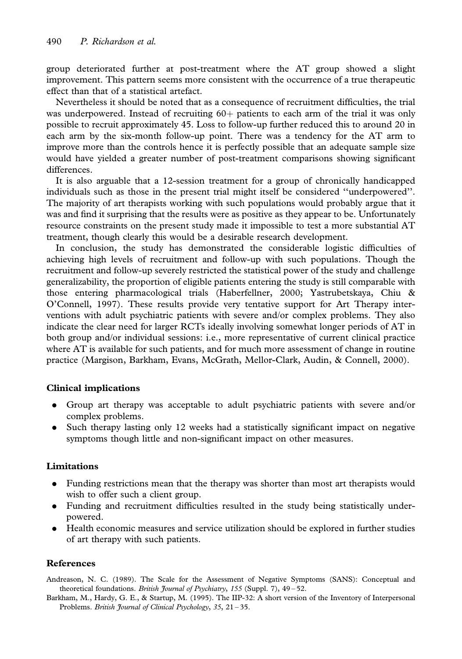group deteriorated further at post-treatment where the AT group showed a slight improvement. This pattern seems more consistent with the occurrence of a true therapeutic effect than that of a statistical artefact.

Nevertheless it should be noted that as a consequence of recruitment difficulties, the trial was underpowered. Instead of recruiting  $60+$  patients to each arm of the trial it was only possible to recruit approximately 45. Loss to follow-up further reduced this to around 20 in each arm by the six-month follow-up point. There was a tendency for the AT arm to improve more than the controls hence it is perfectly possible that an adequate sample size would have yielded a greater number of post-treatment comparisons showing significant differences.

It is also arguable that a 12-session treatment for a group of chronically handicapped individuals such as those in the present trial might itself be considered ''underpowered''. The majority of art therapists working with such populations would probably argue that it was and find it surprising that the results were as positive as they appear to be. Unfortunately resource constraints on the present study made it impossible to test a more substantial AT treatment, though clearly this would be a desirable research development.

In conclusion, the study has demonstrated the considerable logistic difficulties of achieving high levels of recruitment and follow-up with such populations. Though the recruitment and follow-up severely restricted the statistical power of the study and challenge generalizability, the proportion of eligible patients entering the study is still comparable with those entering pharmacological trials (Haberfellner, 2000; Yastrubetskaya, Chiu & O'Connell, 1997). These results provide very tentative support for Art Therapy interventions with adult psychiatric patients with severe and/or complex problems. They also indicate the clear need for larger RCTs ideally involving somewhat longer periods of AT in both group and/or individual sessions: i.e., more representative of current clinical practice where AT is available for such patients, and for much more assessment of change in routine practice (Margison, Barkham, Evans, McGrath, Mellor-Clark, Audin, & Connell, 2000).

# Clinical implications

- . Group art therapy was acceptable to adult psychiatric patients with severe and/or complex problems.
- . Such therapy lasting only 12 weeks had a statistically significant impact on negative symptoms though little and non-significant impact on other measures.

# **Limitations**

- . Funding restrictions mean that the therapy was shorter than most art therapists would wish to offer such a client group.
- . Funding and recruitment difficulties resulted in the study being statistically underpowered.
- . Health economic measures and service utilization should be explored in further studies of art therapy with such patients.

## References

Andreason, N. C. (1989). The Scale for the Assessment of Negative Symptoms (SANS): Conceptual and theoretical foundations. British Journal of Psychiatry, 155 (Suppl. 7), 49-52.

Barkham, M., Hardy, G. E., & Startup, M. (1995). The IIP-32: A short version of the Inventory of Interpersonal Problems. British Journal of Clinical Psychology, 35, 21 – 35.